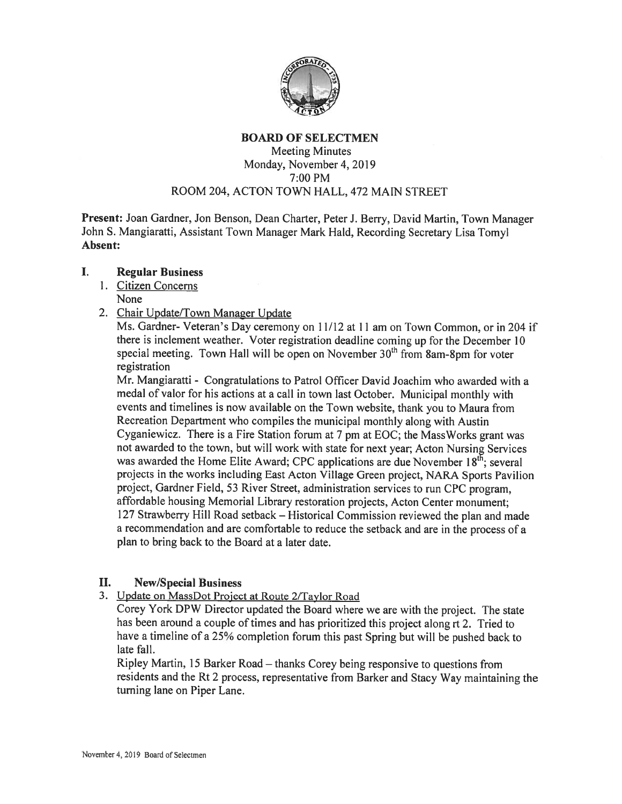

## BOARD OF SELECTMEN Meeting Minutes Monday, November 4. 2019 7:00 PM ROOM 204, ACTON TOWN HALL, 472 MAIN STREET

Present: Joan Gardner, Jon Benson, Dean Charter, Peter J. Berry, David Martin, Town Manager John S. Mangiaratti, Assistant Town Manager Mark Hald, Recording Secretary Lisa Tomyl Absent:

#### I. Regular Business

- 1. Citizen Concerns None
- 2. Chair Update/Town Manager Update

Ms. Gardner- Veteran's Day ceremony on 11/12 at 11 am on Town Common, or in 204 if there is inclement weather. Voter registration deadline coming up for the December <sup>10</sup> special meeting. Town Hall will be open on November  $30<sup>th</sup>$  from 8am-8pm for voter registration

Mr. Mangiaratti - Congratulations to Patrol Officer David Joachim who awarded with <sup>a</sup> medal of valor for his actions at <sup>a</sup> call in town last October. Municipal monthly with events and timelines is now available on the Town website, thank you to Maura from Recreation Department who compiles the municipal monthly along with Austin Cyganiewicz. There is <sup>a</sup> Fire Station forum at <sup>7</sup> pm at EOC; the MassWorks gran<sup>t</sup> was not awarded to the town, but will work with state for next year; Acton Nursing Services was awarded the Home Elite Award; CPC applications are due November  $18<sup>th</sup>$ ; several projects in the works including East Acton Village Green project, NARA Sports Pavilion project, Gardner Field, <sup>53</sup> River Street, administration services to run CPC program, affordable housing Memorial Library restoration projects, Acton Center monument; <sup>127</sup> Strawberry Hill Road setback — Historical Commission reviewed the <sup>p</sup>lan and made <sup>a</sup> recommendation and are comfortable to reduce the setback and are in the process of <sup>a</sup> plan to bring back to the Board at <sup>a</sup> later date.

# II. New/Special Business

3. Update on MassDot Project at Route 2/Taylor Road

Corey York DPW Director updated the Board where we are with the project. The state has been around a couple of times and has prioritized this project along rt 2. Tried to have <sup>a</sup> timeline of <sup>a</sup> 25% completion forum this pas<sup>t</sup> Spring but will be pushed back to late fall.

Ripley Martin, <sup>15</sup> Barker Road — thanks Corey being responsive to questions from residents and the Rt <sup>2</sup> process, representative from Barker and Stacy Way maintaining the turning lane on Piper Lane.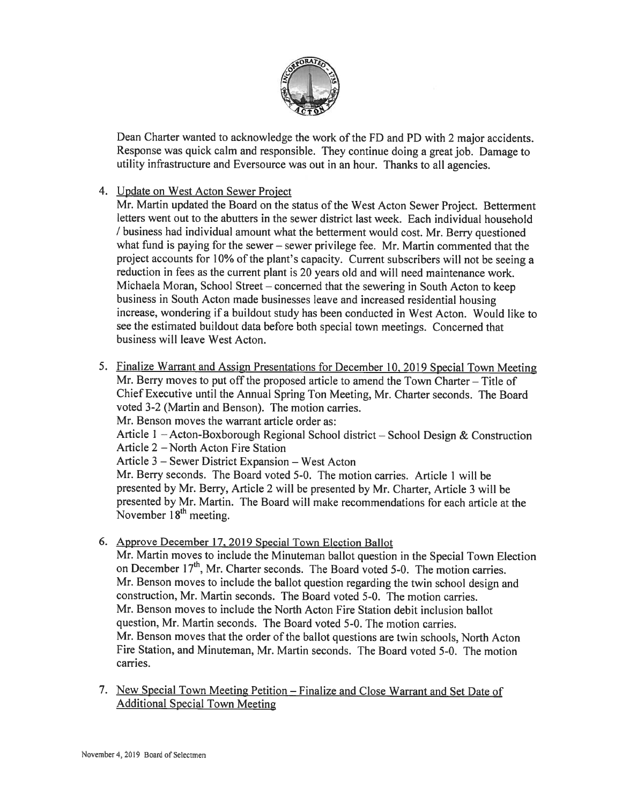

Dean Charter wanted to acknowledge the work of the FD and PD with <sup>2</sup> major accidents. Response was quick calm and responsible. They continue doing <sup>a</sup> grea<sup>t</sup> job. Damage to utility infrastructure and Eversource was out in an hour. Thanks to all agencies.

4. Update on West Acton Sewer Project

Mr. Martin updated the Board on the status of the West Acton Sewer Project. Betterment letters went out to the abutters in the sewer district last week. Each individual household / business had individual amount what the betterment would cost. Mr. Berry questioned what fund is paying for the sewer — sewer privilege fee. Mr. Martin commented that the project accounts for 10% of the <sup>p</sup>lant's capacity. Current subscribers will not be seeing <sup>a</sup> reduction in fees as the current <sup>p</sup>lant is 20 years old and will need maintenance work. Michaela Moran, School Street — concerned that the sewering in South Acton to keep business in South Acton made businesses leave and increased residential housing increase, wondering if <sup>a</sup> buildout study has been conducted in West Acton. Would like to see the estimated buildout data before both special town meetings. Concerned that business will leave West Acton.

- 5. Finalize Warrant and Assign Presentations for December 10, 2019 Special Town Meeting Mr. Berry moves to pu<sup>t</sup> off the proposed article to amend the Town Charter — Title of Chief Executive until the Annual Spring Ton Meeting, Mr. Charter seconds. The Board voted 3-2 (Martin and Benson). The motion carries. Mr. Benson moves the warrant article order as: Article <sup>I</sup> — Acton-Boxborough Regional School district — School Design & Construction Article  $2$  – North Acton Fire Station Article 3 — Sewer District Expansion — West Acton Mr. Berry seconds. The Board voted 5-0. The motion carries. Article I will be presented by Mr. Berry, Article <sup>2</sup> will be presented by Mr. Charter, Article <sup>3</sup> will be presented by Mr. Martin. The Board will make recommendations for each article at the November  $18<sup>th</sup>$  meeting.
- 6. Approve December 17. 2019 Special Town Election Ballot Mr. Martin moves to include the Minuteman ballot question in the Special Town Election on December  $17<sup>th</sup>$ , Mr. Charter seconds. The Board voted 5-0. The motion carries. Mr. Benson moves to include the ballot question regarding the twin school design and construction, Mr. Martin seconds. The Board voted 5-0. The motion carries. Mr. Benson moves to include the North Acton Fire Station debit inclusion ballot question, Mr. Martin seconds. The Board voted 5-0. The motion carries. Mr. Benson moves that the order of the ballot questions are twin schools, North Acton Fire Station, and Minuteman, Mr. Martin seconds. The Board voted 5-0. The motion carries.
- 7. New Special Town Meeting Petition finalize and Close Warrant and Set Date of Additional Special Town Meeting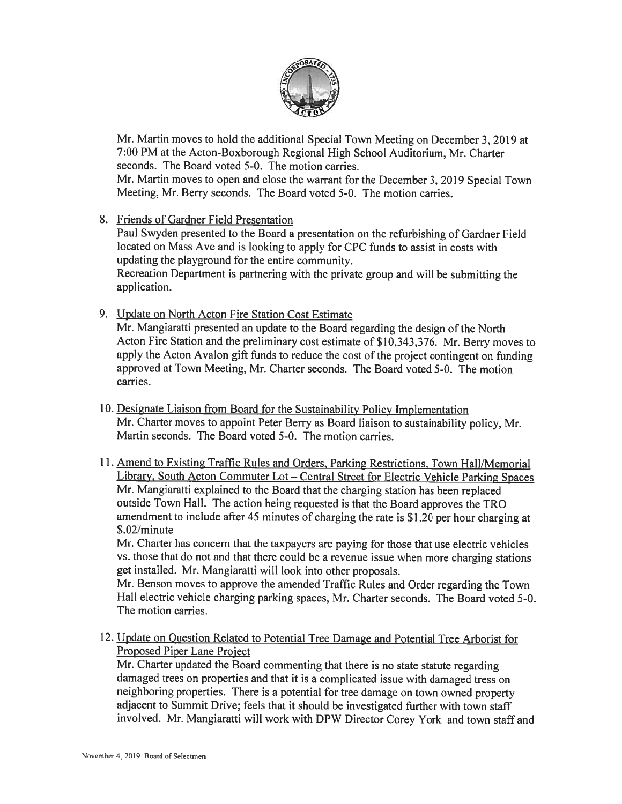

Mr. Martin moves to hold the additional Special Town Meeting on December 3, 2019 at 7:00 PM at the Acton-Boxborough Regional High School Auditorium, Mr. Charter seconds. The Board voted 5-0. The motion carries.

Mr. Martin moves to open and close the warrant for the December 3, <sup>2019</sup> Special Town Meeting, Mr. Berry seconds. The Board voted 5-0. The motion carries.

8. Friends of Gardner Field Presentation

Paul Swyden presented to the Board <sup>a</sup> presentation on the refurbishing of Gardner Field located on Mass Ave and is looking to apply for CPC funds to assist in costs with updating the playground for the entire community.

Recreation Department is partnering with the private group and will be submitting the application.

9. Update on North Acton Fire Station Cost Estimate

Mr. Mangiaratti presented an update to the Board regarding the design of the North Acton Fire Station and the preliminary cost estimate of \$10,343,376. Mr. Berry moves to apply the Acton Avalon gift funds to reduce the cost of the project contingent on funding approved at Town Meeting, Mr. Charter seconds. The Board voted 5-0. The motion carries.

- 10. Designate Liaison from Board for the Sustainability Policy Implementation Mr. Charter moves to appoint Peter Berry as Board liaison to sustainability policy, Mr. Martin seconds. The Board voted 5-0. The motion carries.
- 11. Amend to Existing Traffic Rules and Orders, Parking Restrictions, Town Hall/Memorial Library, South Acton Commuter Lot — Central Street for Electric Vehicle Parking Spaces Mr. Mangiaratti explained to the Board that the charging station has been replaced outside Town Hall. The action being requested is that the Board approves the TRO amendment to include after <sup>45</sup> minutes of charging the rate is \$1.20 per hour charging at \$.02/minute

Mr. Charter has concern that the taxpayers are paying for those that use electric vehicles vs. those that do not and that there could be <sup>a</sup> revenue issue when more charging stations ge<sup>t</sup> installed. Mr. Mangiaratti will look into other proposals.

Mr. Benson moves to approve the amended Traffic Rules and Order regarding the Town Hall electric vehicle charging parking spaces, Mr. Charter seconds. The Board voted 5-0. The motion carries.

12. Update on Ouestion Related to Potential Tree Damage and Potential Tree Arborist for Proposed Piper Lane Project

Mr. Charter updated the Board commenting that there is no state statute regarding damaged trees on properties and that it is <sup>a</sup> complicated issue with damaged tress on neighboring properties. There is <sup>a</sup> potential for tree damage on town owned property adjacent to Summit Drive; feels that it should be investigated further with town staff involved. Mr. Mangiaratti will work with DPW Director Corey York and town staff and